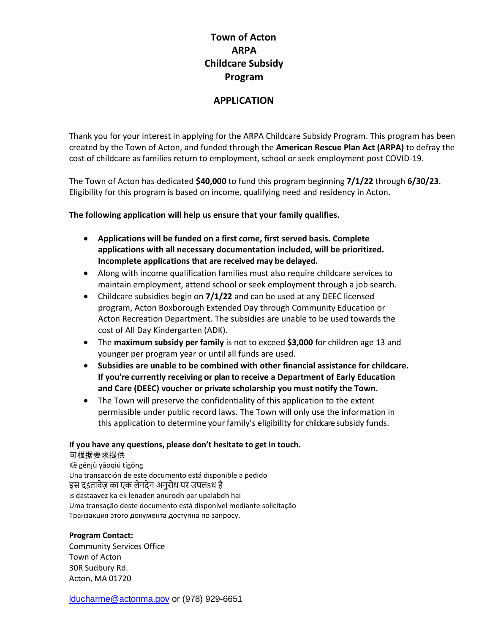# **Town of Acton ARPA Childcare Subsidy Program**

## **APPLICATION**

Thank you for your interest in applying for the ARPA Childcare Subsidy Program. This program has been created by the Town of Acton, and funded through the **American Rescue Plan Act (ARPA)** to defray the cost of childcare as families return to employment, school or seek employment post COVID-19.

The Town of Acton has dedicated **\$40,000** to fund this program beginning **7/1/22** through **6/30/23**. Eligibility for this program is based on income, qualifying need and residency in Acton.

**The following application will help us ensure that your family qualifies.**

- **Applications will be funded on a first come, first served basis. Complete applications with all necessary documentation included, will be prioritized. Incomplete applications that are received may be delayed.**
- Along with income qualification families must also require childcare services to maintain employment, attend school or seek employment through a job search.
- Childcare subsidies begin on **7/1/22** and can be used at any DEEC licensed program, Acton Boxborough Extended Day through Community Education or Acton Recreation Department. The subsidies are unable to be used towards the cost of All Day Kindergarten (ADK).
- The **maximum subsidy per family** is not to exceed **\$3,000** for children age 13 and younger per program year or until all funds are used.
- **Subsidies are unable to be combined with other financial assistance for childcare. If you're currently receiving or plan to receive a Department of Early Education and Care (DEEC) voucher or private scholarship you must notify the Town.**
- The Town will preserve the confidentiality of this application to the extent permissible under public record laws. The Town will only use the information in this application to determine your family's eligibility for childcare subsidy funds.

#### **If you have any questions, please don't hesitate to get in touch.** 可根据要求提供

Kě gēnjù yāoqiú tígōng Una transacción de este documento está disponible a pedido इस द\$तावेज़ का एक लेनदेन अनुरोध पर उपल5ध है is dastaavez ka ek lenaden anurodh par upalabdh hai Uma transação deste documento está disponível mediante solicitação Транзакция этого документа доступна по запросу.

## **Program Contact:**

Community Services Office Town of Acton 30R Sudbury Rd. Acton, MA 01720

[lducharme@actonma.gov](mailto:lducharme@actonma.gov) or (978) 929-6651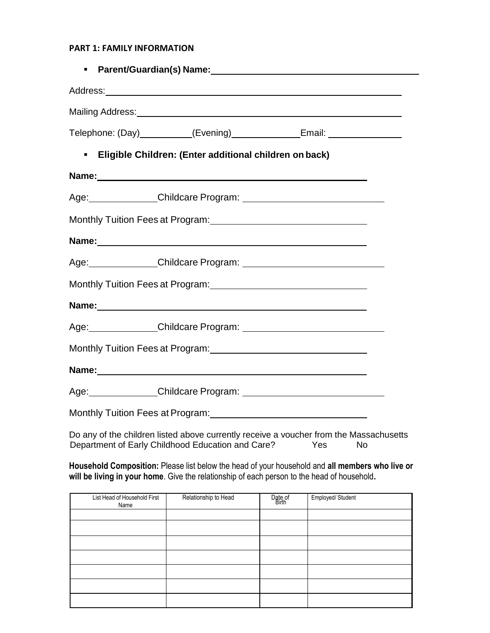#### **PART 1: FAMILY INFORMATION**

|                                                               | Telephone: (Day)__________(Evening)_________________Email: _____________________ |  |
|---------------------------------------------------------------|----------------------------------------------------------------------------------|--|
| <b>Eligible Children: (Enter additional children on back)</b> |                                                                                  |  |
|                                                               |                                                                                  |  |
|                                                               |                                                                                  |  |
|                                                               |                                                                                  |  |
|                                                               |                                                                                  |  |
|                                                               |                                                                                  |  |
|                                                               | Monthly Tuition Fees at Program: 1997 1997 1998 1999                             |  |
|                                                               |                                                                                  |  |
|                                                               |                                                                                  |  |
|                                                               |                                                                                  |  |
|                                                               |                                                                                  |  |
|                                                               |                                                                                  |  |
|                                                               |                                                                                  |  |

Do any of the children listed above currently receive a voucher from the Massachusetts Department of Early Childhood Education and Care? Yes No

**Household Composition:** Please list below the head of your household and **all members who live or will be living in your home**. Give the relationship of each person to the head of household**.**

| List Head of Household First<br>Name | Relationship to Head | Date of<br>Birth | Employed/Student |
|--------------------------------------|----------------------|------------------|------------------|
|                                      |                      |                  |                  |
|                                      |                      |                  |                  |
|                                      |                      |                  |                  |
|                                      |                      |                  |                  |
|                                      |                      |                  |                  |
|                                      |                      |                  |                  |
|                                      |                      |                  |                  |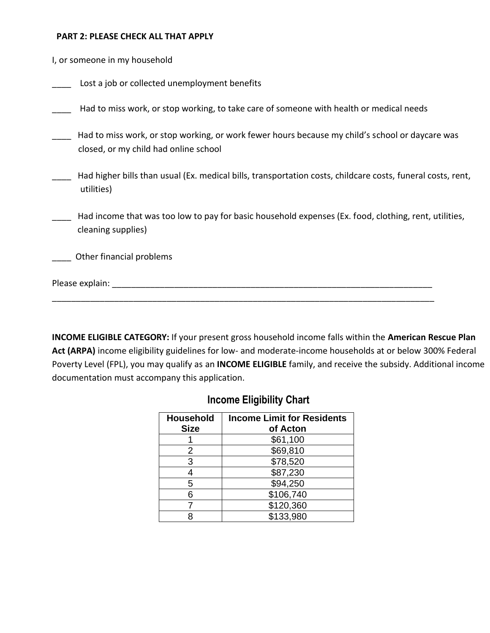#### **PART 2: PLEASE CHECK ALL THAT APPLY**

| I, or someone in my household |  |
|-------------------------------|--|
|-------------------------------|--|

Lost a job or collected unemployment benefits

Had to miss work, or stop working, to take care of someone with health or medical needs

- Had to miss work, or stop working, or work fewer hours because my child's school or daycare was closed, or my child had online school
- Had higher bills than usual (Ex. medical bills, transportation costs, childcare costs, funeral costs, rent, utilities)
- \_\_\_\_ Had income that was too low to pay for basic household expenses (Ex. food, clothing, rent, utilities, cleaning supplies)

\_\_\_\_\_\_\_\_\_\_\_\_\_\_\_\_\_\_\_\_\_\_\_\_\_\_\_\_\_\_\_\_\_\_\_\_\_\_\_\_\_\_\_\_\_\_\_\_\_\_\_\_\_\_\_\_\_\_\_\_\_\_\_\_\_\_\_\_\_\_\_\_\_\_\_\_\_\_\_\_

\_\_\_\_ Other financial problems

Please explain: **Example 2018** 

**INCOME ELIGIBLE CATEGORY:** If your present gross household income falls within the **American Rescue Plan Act (ARPA)** income eligibility guidelines for low- and moderate-income households at or below 300% Federal Poverty Level (FPL), you may qualify as an **INCOME ELIGIBLE** family, and receive the subsidy. Additional income documentation must accompany this application.

# **Income Eligibility Chart**

| <b>Household</b> | <b>Income Limit for Residents</b> |  |  |
|------------------|-----------------------------------|--|--|
| <b>Size</b>      | of Acton                          |  |  |
|                  | \$61,100                          |  |  |
| 2                | \$69,810                          |  |  |
| 3                | \$78,520                          |  |  |
|                  | \$87,230                          |  |  |
| 5                | \$94,250                          |  |  |
| հ                | \$106,740                         |  |  |
|                  | \$120,360                         |  |  |
|                  | \$133,980                         |  |  |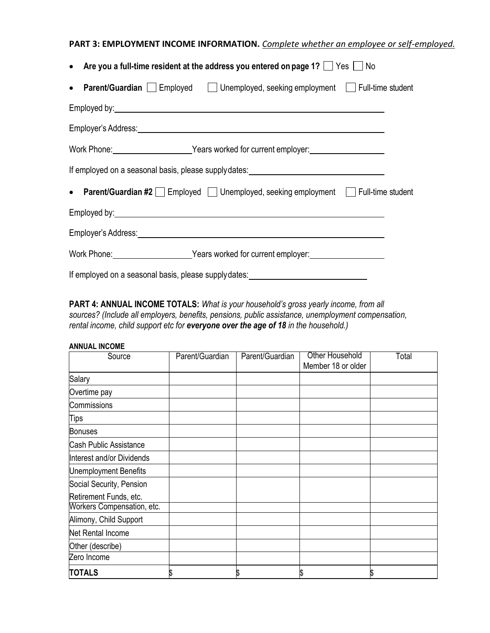# **PART 3: EMPLOYMENT INCOME INFORMATION.** *Complete whether an employee or self-employed.*

| • Are you a full-time resident at the address you entered on page 1? $\Box$ Yes $\Box$<br>No                                                                                                                                         |  |  |  |
|--------------------------------------------------------------------------------------------------------------------------------------------------------------------------------------------------------------------------------------|--|--|--|
| • Parent/Guardian Employed Junemployed, seeking employment Full-time student                                                                                                                                                         |  |  |  |
| Employed by: example and the set of the set of the set of the set of the set of the set of the set of the set of the set of the set of the set of the set of the set of the set of the set of the set of the set of the set of       |  |  |  |
| Employer's Address: <u>Contract Community of the Second Community of the Second Community of the Second Community of the Second Community of the Second Community of the Second Community of the Second Community of the Second </u> |  |  |  |
| Work Phone: Vears worked for current employer:                                                                                                                                                                                       |  |  |  |
| If employed on a seasonal basis, please supplydates: ___________________________                                                                                                                                                     |  |  |  |
| • Parent/Guardian #2 Employed Unemployed, seeking employment Full-time student                                                                                                                                                       |  |  |  |
| Employed by: the contract of the contract of the contract of the contract of the contract of the contract of the contract of the contract of the contract of the contract of the contract of the contract of the contract of t       |  |  |  |
| Employer's Address: experience and the contract of the contract of the contract of the contract of the contract of the contract of the contract of the contract of the contract of the contract of the contract of the contrac       |  |  |  |
| Work Phone: Vears worked for current employer:                                                                                                                                                                                       |  |  |  |
| If employed on a seasonal basis, please supplydates: ___________________________                                                                                                                                                     |  |  |  |

**PART 4: ANNUAL INCOME TOTALS:** *What is your household's gross yearly income, from all sources? (Include all employers, benefits, pensions, public assistance, unemployment compensation, rental income, child support etc for everyone over the age of 18 in the household.)*

#### **ANNUAL INCOME**

| Source                       | Parent/Guardian | Parent/Guardian | Other Household<br>Member 18 or older | Total |
|------------------------------|-----------------|-----------------|---------------------------------------|-------|
| Salary                       |                 |                 |                                       |       |
| Overtime pay                 |                 |                 |                                       |       |
| Commissions                  |                 |                 |                                       |       |
| <b>Tips</b>                  |                 |                 |                                       |       |
| <b>Bonuses</b>               |                 |                 |                                       |       |
| Cash Public Assistance       |                 |                 |                                       |       |
| Interest and/or Dividends    |                 |                 |                                       |       |
| <b>Unemployment Benefits</b> |                 |                 |                                       |       |
| Social Security, Pension     |                 |                 |                                       |       |
| Retirement Funds, etc.       |                 |                 |                                       |       |
| Workers Compensation, etc.   |                 |                 |                                       |       |
| Alimony, Child Support       |                 |                 |                                       |       |
| Net Rental Income            |                 |                 |                                       |       |
| Other (describe)             |                 |                 |                                       |       |
| Zero Income                  |                 |                 |                                       |       |
| <b>TOTALS</b>                | \$              | \$              | S.                                    | S     |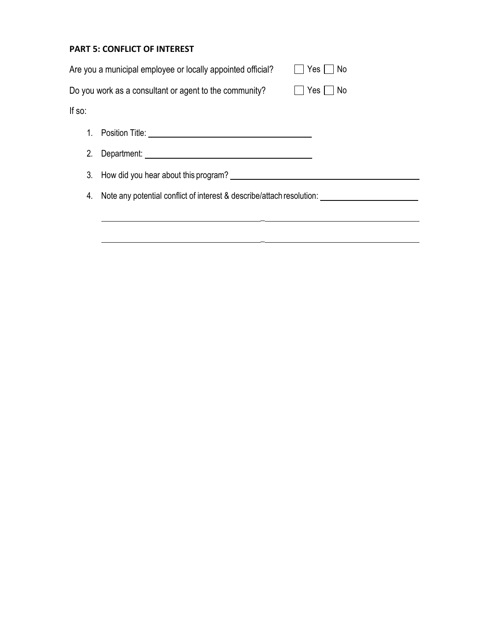## **PART 5: CONFLICT OF INTEREST**

|        | Are you a municipal employee or locally appointed official?           | Yes<br>No  |
|--------|-----------------------------------------------------------------------|------------|
|        | Do you work as a consultant or agent to the community?                | Yes<br>No. |
| If so: |                                                                       |            |
| 1.     |                                                                       |            |
| 2.     |                                                                       |            |
| 3.     | How did you hear about this program?                                  |            |
| 4.     | Note any potential conflict of interest & describe/attach resolution: |            |
|        |                                                                       |            |
|        |                                                                       |            |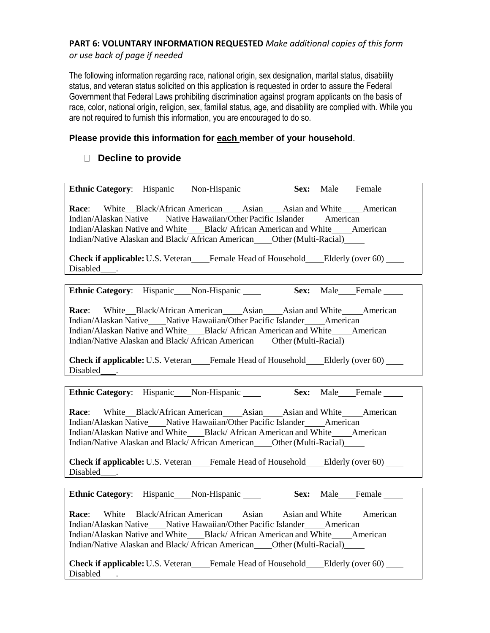## **PART 6: VOLUNTARY INFORMATION REQUESTED** *Make additional copies of this form*

*or use back of page if needed*

The following information regarding race, national origin, sex designation, marital status, disability status, and veteran status solicited on this application is requested in order to assure the Federal Government that Federal Laws prohibiting discrimination against program applicants on the basis of race, color, national origin, religion, sex, familial status, age, and disability are complied with. While you are not required to furnish this information, you are encouraged to do so.

## **Please provide this information for each member of your household**.

# **Decline to provide**

| Ethnic Category: Hispanic Non-Hispanic                                                                                                                                                                                                                                                                                     |  | Sex: Male Female |
|----------------------------------------------------------------------------------------------------------------------------------------------------------------------------------------------------------------------------------------------------------------------------------------------------------------------------|--|------------------|
| <b>Race:</b> White Black/African American Asian Asian and White American<br>Indian/Alaskan Native Mative Hawaiian/Other Pacific Islander Materican<br>Indian/Alaskan Native and White Black/African American and White American                                                                                            |  |                  |
| Indian/Native Alaskan and Black/African American ____ Other (Multi-Racial) ______                                                                                                                                                                                                                                          |  |                  |
|                                                                                                                                                                                                                                                                                                                            |  |                  |
| <b>Check if applicable:</b> U.S. Veteran Female Head of Household Elderly (over 60)<br>Disabled <sub>.</sub>                                                                                                                                                                                                               |  |                  |
| Ethnic Category: Hispanic___Non-Hispanic_____ Sex: Male___Female____                                                                                                                                                                                                                                                       |  |                  |
| <b>Race:</b> White Black/African American Asian Asian and White American<br>Indian/Alaskan Native Mative Hawaiian/Other Pacific Islander Materican<br>Indian/Alaskan Native and White Black/African American and White American<br>Indian/Native Alaskan and Black/African American____Other (Multi-Racial)______          |  |                  |
| <b>Check if applicable:</b> U.S. Veteran____Female Head of Household____Elderly (over 60)____<br>Disabled <sub>_____</sub> .                                                                                                                                                                                               |  |                  |
| Ethnic Category: Hispanic___Non-Hispanic_____ Sex: Male___Female ___                                                                                                                                                                                                                                                       |  |                  |
| Race: White Black/African American Asian Asian and White American<br>Indian/Alaskan Native Mative Hawaiian/Other Pacific Islander Materican<br>Indian/Alaskan Native and White____Black/ African American and White____American<br>Indian/Native Alaskan and Black/African American ____ Other (Multi-Racial) _____        |  |                  |
| <b>Check if applicable:</b> U.S. Veteran____Female Head of Household___Elderly (over 60)___<br>Disabled <sub>_____</sub> .                                                                                                                                                                                                 |  |                  |
| Ethnic Category: Hispanic___Non-Hispanic_____ Sex: Male___Female ____                                                                                                                                                                                                                                                      |  |                  |
| <b>Race:</b> White Black/African American Asian Asian and White American<br>Indian/Alaskan Native Mative Hawaiian/Other Pacific Islander American<br>Indian/Alaskan Native and White____Black/ African American and White_____American<br>Indian/Native Alaskan and Black/African American ____ Other (Multi-Racial) _____ |  |                  |
| <b>Check if applicable:</b> U.S. Veteran Female Head of Household Elderly (over 60)<br>Disabled .                                                                                                                                                                                                                          |  |                  |